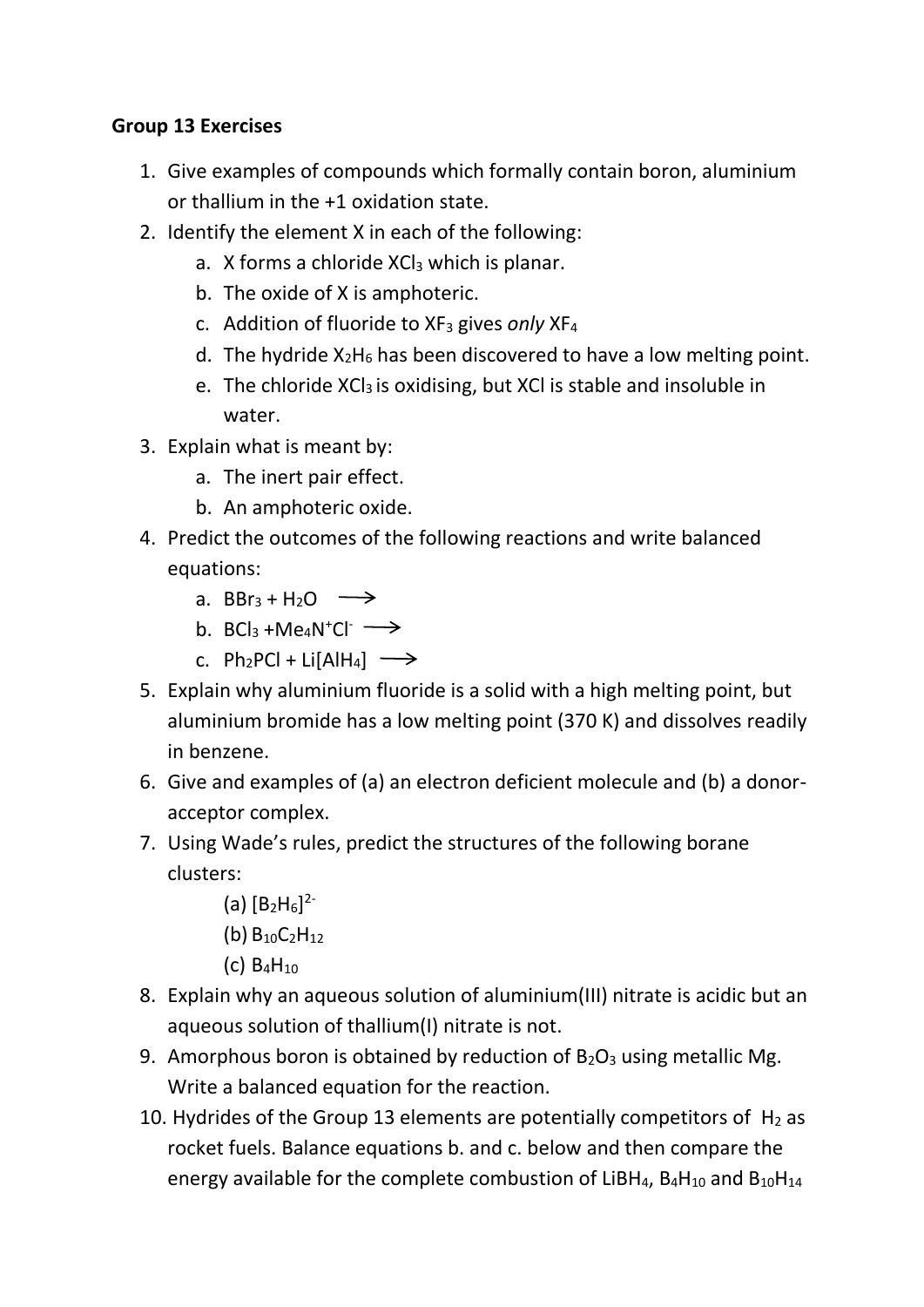## **Group 13 Exercises**

- 1. Give examples of compounds which formally contain boron, aluminium or thallium in the +1 oxidation state.
- 2. Identify the element X in each of the following:
	- a. X forms a chloride XCl<sub>3</sub> which is planar.
	- b. The oxide of X is amphoteric.
	- c. Addition of fluoride to XF<sup>3</sup> gives *only* XF<sup>4</sup>
	- d. The hydride  $X_2H_6$  has been discovered to have a low melting point.
	- e. The chloride XCl<sub>3</sub> is oxidising, but XCl is stable and insoluble in water.
- 3. Explain what is meant by:
	- a. The inert pair effect.
	- b. An amphoteric oxide.
- 4. Predict the outcomes of the following reactions and write balanced equations:
	- a. BBr<sub>3</sub> + H<sub>2</sub>O  $\longrightarrow$
	- b.  $BCI_3 + Me_4N^+Cl^-$
	- c. Ph<sub>2</sub>PCl + Li[AlH<sub>4</sub>]  $\longrightarrow$
- 5. Explain why aluminium fluoride is a solid with a high melting point, but aluminium bromide has a low melting point (370 K) and dissolves readily in benzene.
- 6. Give and examples of (a) an electron deficient molecule and (b) a donoracceptor complex.
- 7. Using Wade's rules, predict the structures of the following borane clusters:
	- (a)  $[B_2H_6]^{2-}$
	- (b) B10C2H<sup>12</sup>
	- $(C)$  B<sub>4</sub>H<sub>10</sub>
- 8. Explain why an aqueous solution of aluminium(III) nitrate is acidic but an aqueous solution of thallium(I) nitrate is not.
- 9. Amorphous boron is obtained by reduction of  $B_2O_3$  using metallic Mg. Write a balanced equation for the reaction.
- 10. Hydrides of the Group 13 elements are potentially competitors of  $H_2$  as rocket fuels. Balance equations b. and c. below and then compare the energy available for the complete combustion of LiBH<sub>4</sub>, B<sub>4</sub>H<sub>10</sub> and B<sub>10</sub>H<sub>14</sub>